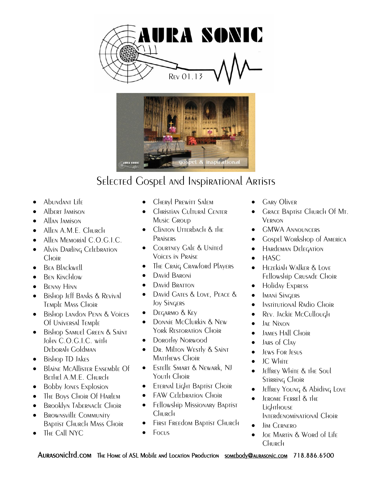



## Selected Gospel and Inspirational Artists

- Abundant Life
- Albert Jamison
- Allan Jamison
- Allen A.M.E. Church
- Allen Memorial C.O.G.I.C.
- Alvin Darling Celebration **Choir**
- **BEA BLACKWELL**
- Ben Kinchlow
- BENNY HINN
- **•** Bishop Jeff Banks & Revival Temple Mass Choir
- Bishop Landon Penn & Voices Of Universal Temple
- **•** Bishop Samuel Green & Saint John C.O.G.I.C. with Deborah Goldman
- Bishop TD Jakes
- Blaine McAllister Ensemble Of Bethel A.M.E. Church
- Bobby Jones Explosion
- The Boys Choir Of Harlem
- **•** Brooklyn Tabernacle Choir
- BROWNSVILLE COMMUNITY Baptist Church Mass Choir
- The Call NYC
- Cheryl Prewitt Salem
- Christian Cultural Center Music Group
- Clinton Utterbach & the **PRAISERS**
- **•** COURTNEY GALE & UNITED Voices in Praise
- The Craig Crawford Players
- **•** David Baroni
- David Bratton
- David Gates & Love, Peace & Joy Singers
- DEGARMO & KEY
- **•** DONNIE McClurkin & New York Restoration Choir
- Dorothy Norwood
- Dr. Milton Westly & Saint MATTHEWS CHOIR
- Estelle Smart & Newark, NJ Youth Choir
- **•** Eternal Light Baptist Choir
- FAW CELEDRATION CHOIR
- **•** Fellowship Missionary Baptist Church
- FIRST FREEdom BADTIST CHURCH
- $\bullet$  Focus
- Gary Oliver
- Grace Baptist Church Of Mt. Vernon
- **GMWA ANNOUNCERS**
- Gospel Workshop of America
- HARDEMAN DELEGATION
- HASC
- **•** Hezekiah Walker & Love Fellowship Crusade Choir
- Holiday Express
- **•** Imani Singers
- Institutional Radio Choir
- Rev. Jackie McCullough
- JAE Nixon
- James Hall Choir
- $\bullet$  JARS of Clav
- **•** Jews For Jesus
- $\bullet$  IC White
- Jeffrey White & the Soul Stirring Choir
- Jeffrey Young & Abiding Love
- Jerome Ferrel & the **Lighthouse** Interdenominational Choir
- Jim Cernero
- JOE MARTIN & WORd of Life Church

AURASONICLTD.COM THE HOME of ASL Mobile and Location Production somebody@aurasonic.com 718.886.6500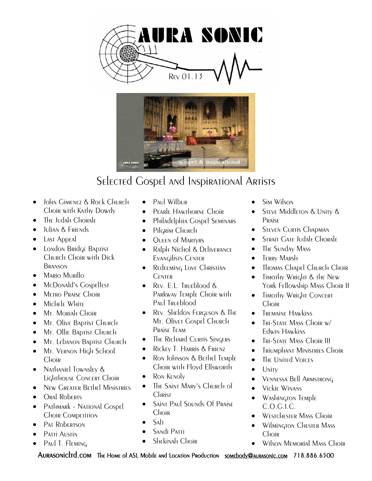



## Selected Gospel and Inspirational Artists

- **•** John Gimenez & Rock Church Choir with Kathy Dowdy
- The Judah Chorale
- Julian & Friends
- Last Appeal
- **•** London Bridge Baptist Church Choir with Dick **BRANSON**
- **•** Mario Murillo
- McDonald's Gospelfest
- METRO PRAISE CHOIR
- Michele White
- $\bullet$  M<sub>t</sub>. Moriah Choir
- Mt. Olive Baptist Church
- Mt. Ollie Baptist Church
- Mt. Lebanon Baptist Church
- Mt. VERNON High School **Choir**
- Nathaniel Townsley & Lighthouse Concert Choir
- New Greater Bethel Ministries
- Oral Roberts
- Pathmark National Gospel Choir Competition
- P<sub>AT</sub> Robertson
- Patti Austin
- Paul T. Fleming
- Paul Wilbur
- Pearle Hawthorne Choir
- Philadelphia Gospel Seminars
- Pilgrim Church
- QUEEN of MARTYRS
- Ralph Nichol & Deliverance Evangilists Center
- Redeeming Love Christian **CENTER**
- REV. E.L. Trueblood & Parkway Temple Choir with P<sub>AU</sub> T<sub>RUE</sub>blood
- Rev. Sheldon Ferguson & The Mt. Olivet Gospel Church Praise Team
- The Richard Curtis Singers
- Rickey T. Harris & Frienz
- Ron Johnson & Bethel Temple Choir with Floyd Ellsworth
- Ron KENOLY
- The Saint Mary's Church of **CHRIST**
- Saint Paul Sounds Of Praise Choir
- Salt
- Sandi Patti
- Shekinah Choir
- Sim Wilson
- Steve Middleton & Unity & Praise
- STEVEN CURTIS CHAPMAN
- **STRAIT GATE JUDAH CHORALE**
- The Sunday Mass
- **•** TERRY MARSH
- Thomas Chapel Church Choir
- Timothy Wright & the New York Fellowship Mass Choir II
- Timothy Wright Concert **C**hoir
- Tremaine Hawkins
- Tri-State Mass Choir w/ Edwin Hawkins
- **•** Tri-State Mass Choir III
- **•** Triumphant Ministries Choir
- The United Voices
- $\bullet$  Unity
- Vennessa Bell Armstrong
- **•** Vickie Winans
- Washington Temple C.O.G.I.C.
- Westchester Mass Choir
- Wilmington Chester Mass **C**Hoir
- Wilson Memorial Mass Choir

AURASONICITO.COM THE HOME OF ASL Mobile and Location Production somebody@aurasonic.com 718.886.6500